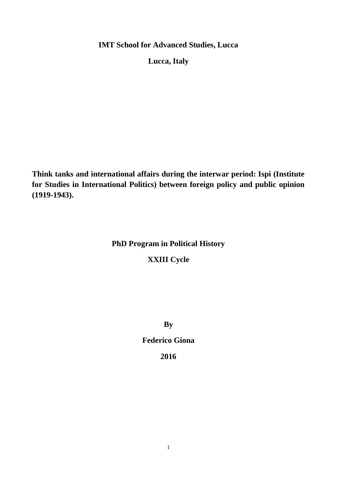**IMT School for Advanced Studies, Lucca**

**Lucca, Italy**

**Think tanks and international affairs during the interwar period: Ispi (Institute for Studies in International Politics) between foreign policy and public opinion (1919-1943).**

## **PhD Program in Political History**

# **XXIII Cycle**

**By**

# **Federico Giona**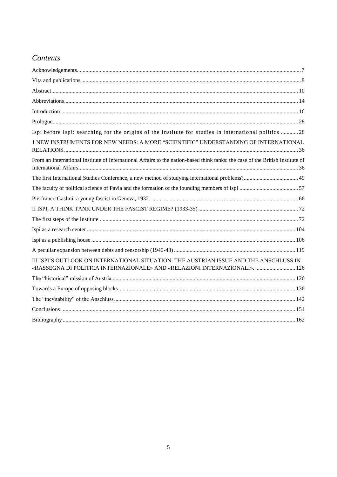# Contents

| Ispi before Ispi: searching for the origins of the Institute for studies in international politics 28                                                                |  |
|----------------------------------------------------------------------------------------------------------------------------------------------------------------------|--|
| 1 NEW INSTRUMENTS FOR NEW NEEDS: A MORE "SCIENTIFIC" UNDERSTANDING OF INTERNATIONAL                                                                                  |  |
| From an International Institute of International Affairs to the nation-based think tanks: the case of the British Institute of                                       |  |
|                                                                                                                                                                      |  |
|                                                                                                                                                                      |  |
|                                                                                                                                                                      |  |
|                                                                                                                                                                      |  |
|                                                                                                                                                                      |  |
|                                                                                                                                                                      |  |
|                                                                                                                                                                      |  |
|                                                                                                                                                                      |  |
| III ISPI'S OUTLOOK ON INTERNATIONAL SITUATION: THE AUSTRIAN ISSUE AND THE ANSCHLUSS IN<br>«RASSEGNA DI POLITICA INTERNAZIONALE» AND «RELAZIONI INTERNAZIONALI».  126 |  |
|                                                                                                                                                                      |  |
|                                                                                                                                                                      |  |
|                                                                                                                                                                      |  |
|                                                                                                                                                                      |  |
|                                                                                                                                                                      |  |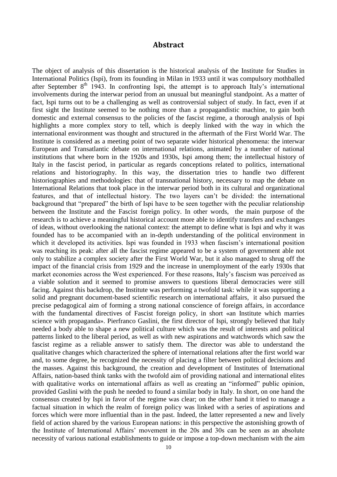### **Abstract**

<span id="page-2-0"></span>The object of analysis of this dissertation is the historical analysis of the Institute for Studies in International Politics (Ispi), from its founding in Milan in 1933 until it was compulsory mothballed after September  $8<sup>th</sup>$  1943. In confronting Ispi, the attempt is to approach Italy's international involvements during the interwar period from an unusual but meaningful standpoint. As a matter of fact, Ispi turns out to be a challenging as well as controversial subject of study. In fact, even if at first sight the Institute seemed to be nothing more than a propagandistic machine, to gain both domestic and external consensus to the policies of the fascist regime, a thorough analysis of Ispi highlights a more complex story to tell, which is deeply linked with the way in which the international environment was thought and structured in the aftermath of the First World War. The Institute is considered as a meeting point of two separate wider historical phenomena: the interwar European and Transatlantic debate on international relations, animated by a number of national institutions that where born in the 1920s and 1930s, Ispi among them; the intellectual history of Italy in the fascist period, in particular as regards conceptions related to politics, international relations and historiography. In this way, the dissertation tries to handle two different historiographies and methodologies: that of transnational history, necessary to map the debate on International Relations that took place in the interwar period both in its cultural and organizational features, and that of intellectual history. The two layers can't be divided: the international background that "prepared" the birth of Ispi have to be seen together with the peculiar relationship between the Institute and the Fascist foreign policy. In other words, the main purpose of the research is to achieve a meaningful historical account more able to identify transfers and exchanges of ideas, without overlooking the national context: the attempt to define what is Ispi and why it was founded has to be accompanied with an in-depth understanding of the political environment in which it developed its activities. Ispi was founded in 1933 when fascism's international position was reaching its peak: after all the fascist regime appeared to be a system of government able not only to stabilize a complex society after the First World War, but it also managed to shrug off the impact of the financial crisis from 1929 and the increase in unemployment of the early 1930s that market economies across the West experienced. For these reasons, Italy's fascism was perceived as a viable solution and it seemed to promise answers to questions liberal democracies were still facing. Against this backdrop, the Institute was performing a twofold task: while it was supporting a solid and pregnant document-based scientific research on international affairs, it also pursued the precise pedagogical aim of forming a strong national conscience of foreign affairs, in accordance with the fundamental directives of Fascist foreign policy, in short «an Institute which marries science with propaganda». Pierfranco Gaslini, the first director of Ispi, strongly believed that Italy needed a body able to shape a new political culture which was the result of interests and political patterns linked to the liberal period, as well as with new aspirations and watchwords which saw the fascist regime as a reliable answer to satisfy them. The director was able to understand the qualitative changes which characterized the sphere of international relations after the first world war and, to some degree, he recognized the necessity of placing a filter between political decisions and the masses. Against this background, the creation and development of Institutes of International Affairs, nation-based think tanks with the twofold aim of providing national and international elites with qualitative works on international affairs as well as creating an "informed" public opinion, provided Gaslini with the push he needed to found a similar body in Italy. In short, on one hand the consensus created by Ispi in favor of the regime was clear; on the other hand it tried to manage a factual situation in which the realm of foreign policy was linked with a series of aspirations and forces which were more influential than in the past. Indeed, the latter represented a new and lively field of action shared by the various European nations: in this perspective the astonishing growth of the Institute of International Affairs' movement in the 20s and 30s can be seen as an absolute necessity of various national establishments to guide or impose a top-down mechanism with the aim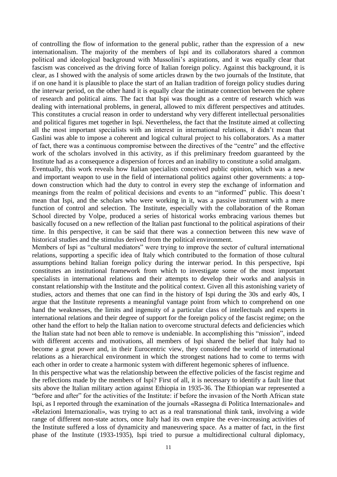of controlling the flow of information to the general public, rather than the expression of a new internationalism. The majority of the members of Ispi and its collaborators shared a common political and ideological background with Mussolini's aspirations, and it was equally clear that fascism was conceived as the driving force of Italian foreign policy. Against this background, it is clear, as I showed with the analysis of some articles drawn by the two journals of the Institute, that if on one hand it is plausible to place the start of an Italian tradition of foreign policy studies during the interwar period, on the other hand it is equally clear the intimate connection between the sphere of research and political aims. The fact that Ispi was thought as a centre of research which was dealing with international problems, in general, allowed to mix different perspectives and attitudes. This constitutes a crucial reason in order to understand why very different intellectual personalities and political figures met together in Ispi. Nevertheless, the fact that the Institute aimed at collecting all the most important specialists with an interest in international relations, it didn't mean that Gaslini was able to impose a coherent and logical cultural project to his collaborators. As a matter of fact, there was a continuous compromise between the directives of the "centre" and the effective work of the scholars involved in this activity, as if this preliminary freedom guaranteed by the Institute had as a consequence a dispersion of forces and an inability to constitute a solid amalgam.

Eventually, this work reveals how Italian specialists conceived public opinion, which was a new and important weapon to use in the field of international politics against other governments: a topdown construction which had the duty to control in every step the exchange of information and meanings from the realm of political decisions and events to an "informed" public. This doesn't mean that Ispi, and the scholars who were working in it, was a passive instrument with a mere function of control and selection. The Institute, especially with the collaboration of the Roman School directed by Volpe, produced a series of historical works embracing various themes but basically focused on a new reflection of the Italian past functional to the political aspirations of their time. In this perspective, it can be said that there was a connection between this new wave of historical studies and the stimulus derived from the political environment.

Members of Ispi as "cultural mediators" were trying to improve the sector of cultural international relations, supporting a specific idea of Italy which contributed to the formation of those cultural assumptions behind Italian foreign policy during the interwar period. In this perspective, Ispi constitutes an institutional framework from which to investigate some of the most important specialists in international relations and their attempts to develop their works and analysis in constant relationship with the Institute and the political context. Given all this astonishing variety of studies, actors and themes that one can find in the history of Ispi during the 30s and early 40s, I argue that the Institute represents a meaningful vantage point from which to comprehend on one hand the weaknesses, the limits and ingenuity of a particular class of intellectuals and experts in international relations and their degree of support for the foreign policy of the fascist regime; on the other hand the effort to help the Italian nation to overcome structural defects and deficiencies which the Italian state had not been able to remove is undeniable. In accomplishing this "mission", indeed with different accents and motivations, all members of Ispi shared the belief that Italy had to become a great power and, in their Eurocentric view, they considered the world of international relations as a hierarchical environment in which the strongest nations had to come to terms with each other in order to create a harmonic system with different hegemonic spheres of influence.

In this perspective what was the relationship between the effective policies of the fascist regime and the reflections made by the members of Ispi? First of all, it is necessary to identify a fault line that sits above the Italian military action against Ethiopia in 1935-36. The Ethiopian war represented a "before and after" for the activities of the Institute: if before the invasion of the North African state Ispi, as I reported through the examination of the journals «Rassegna di Politica Internazionale» and «Relazioni Internazionali», was trying to act as a real transnational think tank, involving a wide range of different non-state actors, once Italy had its own empire the ever-increasing activities of the Institute suffered a loss of dynamicity and maneuvering space. As a matter of fact, in the first phase of the Institute (1933-1935), Ispi tried to pursue a multidirectional cultural diplomacy,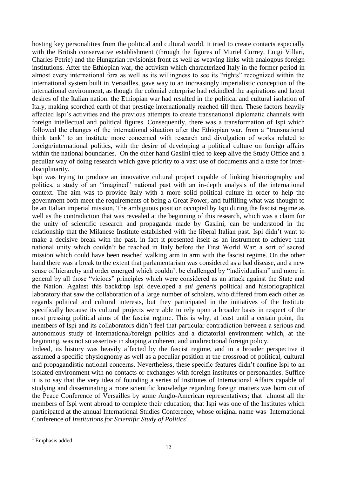hosting key personalities from the political and cultural world. It tried to create contacts especially with the British conservative establishment (through the figures of Muriel Currey, Luigi Villari, Charles Petrie) and the Hungarian revisionist front as well as weaving links with analogous foreign institutions. After the Ethiopian war, the activism which characterized Italy in the former period in almost every international fora as well as its willingness to see its "rights" recognized within the international system built in Versailles, gave way to an increasingly imperialistic conception of the international environment, as though the colonial enterprise had rekindled the aspirations and latent desires of the Italian nation. the Ethiopian war had resulted in the political and cultural isolation of Italy, making scorched earth of that prestige internationally reached till then. These factors heavily affected Ispi's activities and the previous attempts to create transnational diplomatic channels with foreign intellectual and political figures. Consequently, there was a transformation of Ispi which followed the changes of the international situation after the Ethiopian war, from a "transnational think tank" to an institute more concerned with research and divulgation of works related to foreign/international politics, with the desire of developing a political culture on foreign affairs within the national boundaries. On the other hand Gaslini tried to keep alive the Study Office and a peculiar way of doing research which gave priority to a vast use of documents and a taste for interdisciplinarity.

Ispi was trying to produce an innovative cultural project capable of linking historiography and politics, a study of an "imagined" national past with an in-depth analysis of the international context. The aim was to provide Italy with a more solid political culture in order to help the government both meet the requirements of being a Great Power, and fulfilling what was thought to be an Italian imperial mission. The ambiguous position occupied by Ispi during the fascist regime as well as the contradiction that was revealed at the beginning of this research, which was a claim for the unity of scientific research and propaganda made by Gaslini, can be understood in the relationship that the Milanese Institute established with the liberal Italian past. Ispi didn't want to make a decisive break with the past, in fact it presented itself as an instrument to achieve that national unity which couldn't be reached in Italy before the First World War: a sort of sacred mission which could have been reached walking arm in arm with the fascist regime. On the other hand there was a break to the extent that parlamentarism was considered as a bad disease, and a new sense of hierarchy and order emerged which couldn't be challenged by "individualism" and more in general by all those "vicious" principles which were considered as an attack against the State and the Nation. Against this backdrop Ispi developed a *sui generis* political and historiographical laboratory that saw the collaboration of a large number of scholars, who differed from each other as regards political and cultural interests, but they participated in the initiatives of the Institute specifically because its cultural projects were able to rely upon a broader basis in respect of the most pressing political aims of the fascist regime. This is why, at least until a certain point, the members of Ispi and its collaborators didn't feel that particular contradiction between a serious and autonomous study of international/foreign politics and a dictatorial environment which, at the beginning, was not so assertive in shaping a coherent and unidirectional foreign policy.

Indeed, its history was heavily affected by the fascist regime, and in a broader perspective it assumed a specific physiognomy as well as a peculiar position at the crossroad of political, cultural and propagandistic national concerns. Nevertheless, these specific features didn't confine Ispi to an isolated environment with no contacts or exchanges with foreign institutes or personalities. Suffice it is to say that the very idea of founding a series of Institutes of International Affairs capable of studying and disseminating a more scientific knowledge regarding foreign matters was born out of the Peace Conference of Versailles by some Anglo-American representatives; that almost all the members of Ispi went abroad to complete their education; that Ispi was one of the Institutes which participated at the annual International Studies Conference, whose original name was International Conference of *Institutions for Scientific Study of Politics<sup>1</sup>* .

 $1$  Emphasis added.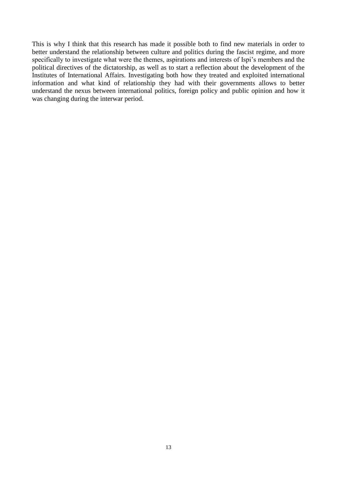This is why I think that this research has made it possible both to find new materials in order to better understand the relationship between culture and politics during the fascist regime, and more specifically to investigate what were the themes, aspirations and interests of Ispi's members and the political directives of the dictatorship, as well as to start a reflection about the development of the Institutes of International Affairs. Investigating both how they treated and exploited international information and what kind of relationship they had with their governments allows to better understand the nexus between international politics, foreign policy and public opinion and how it was changing during the interwar period.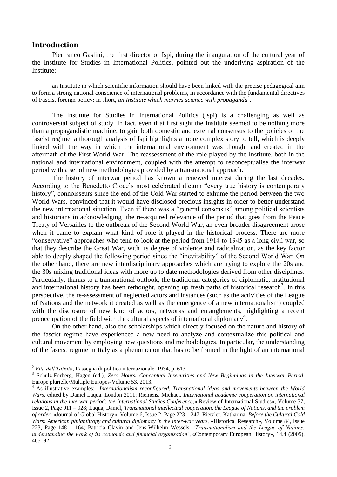#### <span id="page-6-0"></span>**Introduction**

Pierfranco Gaslini, the first director of Ispi, during the inauguration of the cultural year of the Institute for Studies in International Politics, pointed out the underlying aspiration of the Institute:

an Institute in which scientific information should have been linked with the precise pedagogical aim to form a strong national conscience of international problems, in accordance with the fundamental directives of Fascist foreign policy: in short, *an Institute which marries science with propaganda*<sup>2</sup>.

The Institute for Studies in International Politics (Ispi) is a challenging as well as controversial subject of study. In fact, even if at first sight the Institute seemed to be nothing more than a propagandistic machine, to gain both domestic and external consensus to the policies of the fascist regime, a thorough analysis of Ispi highlights a more complex story to tell, which is deeply linked with the way in which the international environment was thought and created in the aftermath of the First World War. The reassessment of the role played by the Institute, both in the national and international environment, coupled with the attempt to reconceptualise the interwar period with a set of new methodologies provided by a transnational approach.

The history of interwar period has known a renewed interest during the last decades. According to the Benedetto Croce's most celebrated dictum "every true history is contemporary history", connoisseurs since the end of the Cold War started to exhume the period between the two World Wars, convinced that it would have disclosed precious insights in order to better understand the new international situation. Even if there was a "general consensus" among political scientists and historians in acknowledging the re-acquired relevance of the period that goes from the Peace Treaty of Versailles to the outbreak of the Second World War, an even broader disagreement arose when it came to explain what kind of role it played in the historical process. There are more "conservative" approaches who tend to look at the period from 1914 to 1945 as a long civil war, so that they describe the Great War, with its degree of violence and radicalization, as the key factor able to deeply shaped the following period since the "inevitability" of the Second World War. On the other hand, there are new interdisciplinary approaches which are trying to explore the 20s and the 30s mixing traditional ideas with more up to date methodologies derived from other disciplines. Particularly, thanks to a transnational outlook, the traditional categories of diplomatic, institutional and international history has been rethought, opening up fresh paths of historical research<sup>3</sup>. In this perspective, the re-assessment of neglected actors and instances (such as the activities of the League of Nations and the network it created as well as the emergence of a new internationalism) coupled with the disclosure of new kind of actors, networks and entanglements, highlighting a recent preoccupation of the field with the cultural aspects of international diplomacy<sup>4</sup>.

On the other hand, also the scholarships which directly focused on the nature and history of the fascist regime have experienced a new need to analyze and contextualize this political and cultural movement by employing new questions and methodologies. In particular, the understanding of the fascist regime in Italy as a phenomenon that has to be framed in the light of an international

<sup>2</sup> *Vita dell'Istituto*, Rassegna di politica internazionale, 1934, p. 613.

<sup>3</sup> Schulz-Forberg, Hagen (ed.), *Zero Hours. Conceptual Insecurities and New Beginnings in the Interwar Period*, Europe plurielle/Multiple Europes-Volume 53, 2013.

<sup>4</sup> As illustrative examples: *Internationalism reconfigured. Transnational ideas and movements between the World Wars,* edited by Daniel Laqua, London 2011; Riemens, Michael, *International academic cooperation on international relations in the interwar period: the International Studies Conference*,« Review of International Studies», Volume 37, Issue 2, Page 911 – 928; Laqua, Daniel, *Transnational intellectual cooperation, the League of Nations, and the problem of order,* «Journal of Global History», Volume 6, Issue 2, Page 223 – 247; Rietzler, Katharina, *Before the Cultural Cold Wars: American philanthropy and cultural diplomacy in the inter-war years*, «Historical Research», Volume 84, Issue 223, Page 148 – 164; Patricia Clavin and Jens-Wilhelm Wessels, *'Transnationalism and the League of Nations: understanding the work of its economic and financial organisation'*, «Contemporary European History», 14.4 (2005), 465–92.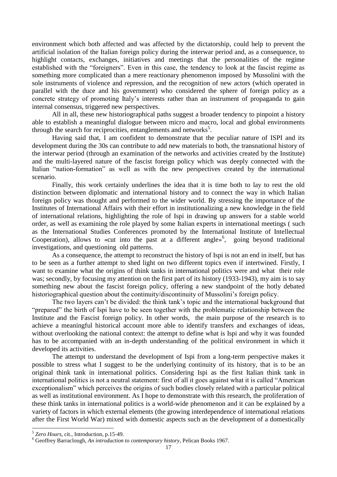environment which both affected and was affected by the dictatorship, could help to prevent the artificial isolation of the Italian foreign policy during the interwar period and, as a consequence, to highlight contacts, exchanges, initiatives and meetings that the personalities of the regime established with the "foreigners". Even in this case, the tendency to look at the fascist regime as something more complicated than a mere reactionary phenomenon imposed by Mussolini with the sole instruments of violence and repression, and the recognition of new actors (which operated in parallel with the duce and his government) who considered the sphere of foreign policy as a concrete strategy of promoting Italy's interests rather than an instrument of propaganda to gain internal consensus, triggered new perspectives.

All in all, these new historiographical paths suggest a broader tendency to pinpoint a history able to establish a meaningful dialogue between micro and macro, local and global environments through the search for reciprocities, entanglements and networks<sup>5</sup>.

Having said that, I am confident to demonstrate that the peculiar nature of ISPI and its development during the 30s can contribute to add new materials to both, the transnational history of the interwar period (through an examination of the networks and activities created by the Institute) and the multi-layered nature of the fascist foreign policy which was deeply connected with the Italian "nation-formation" as well as with the new perspectives created by the international scenario.

Finally, this work certainly underlines the idea that it is time both to lay to rest the old distinction between diplomatic and international history and to connect the way in which Italian foreign policy was thought and performed to the wider world. By stressing the importance of the Institutes of International Affairs with their effort in institutionalizing a new knowledge in the field of international relations, highlighting the role of Ispi in drawing up answers for a stable world order, as well as examining the role played by some Italian experts in international meetings ( such as the International Studies Conferences promoted by the International Institute of Intellectual Cooperation), allows to «cut into the past at a different angle»<sup>6</sup>, going beyond traditional investigations, and questioning old patterns.

As a consequence, the attempt to reconstruct the history of Ispi is not an end in itself, but has to be seen as a further attempt to shed light on two different topics even if intertwined. Firstly, I want to examine what the origins of think tanks in international politics were and what their role was; secondly, by focusing my attention on the first part of its history (1933-1943), my aim is to say something new about the fascist foreign policy, offering a new standpoint of the hotly debated historiographical question about the continuity/discontinuity of Mussolini's foreign policy.

The two layers can't be divided: the think tank's topic and the international background that "prepared" the birth of Ispi have to be seen together with the problematic relationship between the Institute and the Fascist foreign policy. In other words, the main purpose of the research is to achieve a meaningful historical account more able to identify transfers and exchanges of ideas, without overlooking the national context: the attempt to define what is Ispi and why it was founded has to be accompanied with an in-depth understanding of the political environment in which it developed its activities.

The attempt to understand the development of Ispi from a long-term perspective makes it possible to stress what I suggest to be the underlying continuity of its history, that is to be an original think tank in international politics. Considering Ispi as the first Italian think tank in international politics is not a neutral statement: first of all it goes against what it is called "American exceptionalism" which perceives the origins of such bodies closely related with a particular political as well as institutional environment. As I hope to demonstrate with this research, the proliferation of these think tanks in international politics is a world-wide phenomenon and it can be explained by a variety of factors in which external elements (the growing interdependence of international relations after the First World War) mixed with domestic aspects such as the development of a domestically

<sup>5</sup> *Zero Hours*, cit., Introduction, p.15-49.

<sup>6</sup> Geoffrey Barraclough, *An introduction to contemporary history*, Pelican Books 1967.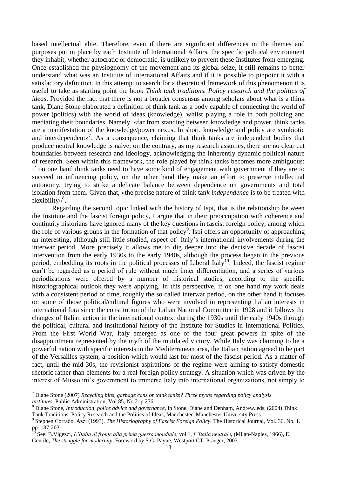based intellectual elite. Therefore, even if there are significant differences in the themes and purposes put in place by each Institute of International Affairs, the specific political environment they inhabit, whether autocratic or democratic, is unlikely to prevent these Institutes from emerging. Once established the physiognomy of the movement and its global seize, it still remains to better understand what was an Institute of International Affairs and if it is possible to pinpoint it with a satisfactory definition. In this attempt to search for a theoretical framework of this phenomenon it is useful to take as starting point the book *Think tank traditions. Policy research and the politics of ideas*. Provided the fact that there is not a broader consensus among scholars about what is a think tank, Diane Stone elaborated a definition of think tank as a body capable of connecting the world of power (politics) with the world of ideas (knowledge), whilst playing a role in both policing and mediating their boundaries. Namely, «far from standing between knowledge and power, think tanks are a manifestation of the knowledge/power nexus. In short, knowledge and policy are symbiotic and interdependent»<sup>7</sup>. As a consequence, claiming that think tanks are independent bodies that produce neutral knowledge is naive; on the contrary, as my research assumes, there are no clear cut boundaries between research and ideology, acknowledging the inherently dynamic political nature of research. Seen within this framework, the role played by think tanks becomes more ambiguous: if on one hand think tanks need to have some kind of engagement with government if they are to succeed in influencing policy, on the other hand they make an effort to preserve intellectual autonomy, trying to strike a delicate balance between dependence on governments and total isolation from them. Given that, «the precise nature of think tan*k independence* is to be treated with flexibility»<sup>8</sup>.

Regarding the second topic linked with the history of Ispi, that is the relationship between the Institute and the fascist foreign policy, I argue that in their preoccupation with coherence and continuity historians have ignored many of the key questions in fascist foreign policy, among which the role of various groups in the formation of that policy<sup>9</sup>. Ispi offers an opportunity of approaching an interesting, although still little studied, aspect of Italy's international involvements during the interwar period. More precisely it allows me to dig deeper into the decisive decade of fascist intervention from the early 1930s to the early 1940s, although the process began in the previous period, embedding its roots in the political processes of Liberal Italy<sup>10</sup>. Indeed, the fascist regime can't be regarded as a period of rule without much inner differentiation, and a series of various periodizations were offered by a number of historical studies, according to the specific historiographical outlook they were applying. In this perspective, if on one hand my work deals with a consistent period of time, roughly the so called interwar period, on the other hand it focuses on some of those political/cultural figures who were involved in representing Italian interests in international fora since the constitution of the Italian National Committee in 1928 and it follows the changes of Italian action in the international context during the 1930s until the early 1940s through the political, cultural and institutional history of the Institute for Studies in International Politics. From the First World War, Italy emerged as one of the four great powers in spite of the disappointment represented by the myth of the mutilated victory. While Italy was claiming to be a powerful nation with specific interests in the Mediterranean area, the Italian nation agreed to be part of the Versailles system, a position which would last for most of the fascist period. As a matter of fact, until the mid-30s, the revisionist aspirations of the regime were aiming to satisfy domestic rhetoric rather than elements for a real foreign policy strategy. A situation which was driven by the interest of Mussolini's government to immerse Italy into international organizations, not simply to

<sup>7</sup> Diane Stone (2007) *Recycling bins, garbage cans or think tanks? Three myths regarding policy analysis institutes,* Public Administration, Vol.85, No.2. p.276.

<sup>8</sup> Diane Stone, *Introduction, police advice and governance,* in Stone, Diane and Denham, Andrew. eds. (2004) Think Tank Traditions: Policy Research and the Politics of Ideas, Manchester: Manchester University Press.

<sup>9</sup> Stephen Corrado, Azzi (1993). *The Historiography of Fascist Foreign Policy*, The Historical Journal, Vol. 36, No. 1. pp. 187-203.

<sup>10</sup> See, B.Vigezzi, *L'Italia di fronte alla prima guerra mondiale*, vol.1, *L'Italia neutrale*, (Milan-Naples, 1966), E.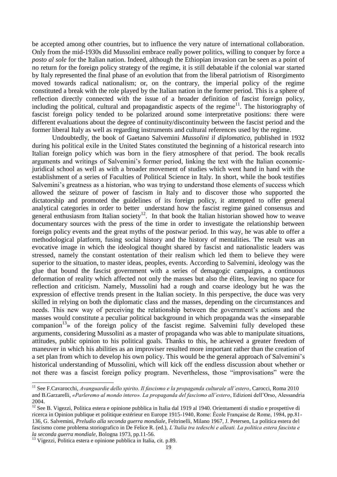be accepted among other countries, but to influence the very nature of international collaboration. Only from the mid-1930s did Mussolini embrace really power politics, willing to conquer by force a *posto al sole* for the Italian nation. Indeed, although the Ethiopian invasion can be seen as a point of no return for the foreign policy strategy of the regime, it is still debatable if the colonial war started by Italy represented the final phase of an evolution that from the liberal patriotism of Risorgimento moved towards radical nationalism; or, on the contrary, the imperial policy of the regime constituted a break with the role played by the Italian nation in the former period. This is a sphere of reflection directly connected with the issue of a broader definition of fascist foreign policy, including the political, cultural and propagandistic aspects of the regime<sup>11</sup>. The historiography of fascist foreign policy tended to be polarized around some interpretative positions: there were different evaluations about the degree of continuity/discontinuity between the fascist period and the former liberal Italy as well as regarding instruments and cultural references used by the regime.

Undoubtedly, the book of Gaetano Salvemini *Mussolini il diplomatico*, published in 1932 during his political exile in the United States constituted the beginning of a historical research into Italian foreign policy which was born in the fiery atmosphere of that period. The book recalls arguments and writings of Salvemini's former period, linking the text with the Italian economicjuridical school as well as with a broader movement of studies which went hand in hand with the establishment of a series of Faculties of Political Science in Italy. In short, while the book testifies Salvemini's greatness as a historian, who was trying to understand those elements of success which allowed the seizure of power of fascism in Italy and to discover those who supported the dictatorship and promoted the guidelines of its foreign policy, it attempted to offer general analytical categories in order to better understand how the fascist regime gained consensus and general enthusiasm from Italian society<sup>12</sup>. In that book the Italian historian showed how to weave documentary sources with the press of the time in order to investigate the relationship between foreign policy events and the great myths of the postwar period. In this way, he was able to offer a methodological platform, fusing social history and the history of mentalities. The result was an evocative image in which the ideological thought shared by fascist and nationalistic leaders was stressed, namely the constant ostentation of their realism which led them to believe they were superior to the situation, to master ideas, peoples, events. According to Salvemini, ideology was the glue that bound the fascist government with a series of demagogic campaigns, a continuous deformation of reality which affected not only the masses but also the élites, leaving no space for reflection and criticism. Namely, Mussolini had a rough and coarse ideology but he was the expression of effective trends present in the Italian society. In this perspective, the duce was very skilled in relying on both the diplomatic class and the masses, depending on the circumstances and needs. This new way of perceiving the relationship between the government's actions and the masses would constitute a peculiar political background in which propaganda was the «inseparable companion<sup>13</sup>» of the foreign policy of the fascist regime. Salvemini fully developed these arguments, considering Mussolini as a master of propaganda who was able to manipulate situations, attitudes, public opinion to his political goals. Thanks to this, he achieved a greater freedom of maneuver in which his abilities as an improviser resulted more important rather than the creation of a set plan from which to develop his own policy. This would be the general approach of Salvemini's historical understanding of Mussolini, which will kick off the endless discussion about whether or not there was a fascist foreign policy program. Nevertheless, those "improvisations" were the

 $\overline{a}$ 

<sup>11</sup> See F.Cavarocchi, *Avanguardie dello spirito. Il fascismo e la propaganda culturale all'estero*, Carocci, Roma 2010 and B.Garzarelli, *«Parleremo al mondo intero». La propaganda del fascismo all'estero*, Edizioni dell'Orso, Alessandria 2004.

<sup>&</sup>lt;sup>12</sup> See B. Vigezzi, Politica estera e opinione pubblica in Italia dal 1919 al 1940. Orientamenti di studio e prospettive di ricerca in Opinion publique et politique extérieur en Europe 1915-1940, Rome: Ѐcole Française de Rome, 1984, pp.81- 136, G. Salvemini, *Preludio alla seconda guerra mondiale*, Feltrinelli, Milano 1967, J. Petersen, La politica estera del fascismo come problema storiografico in De Felice R. (ed.), *L'Italia tra tedeschi e alleati. La politica estera fascista e la seconda guerra mondiale*, Bologna 1973, pp.11-56.

 $\frac{13}{13}$  Vigezzi, Politica estera e opinione pubblica in Italia, cit. p.89.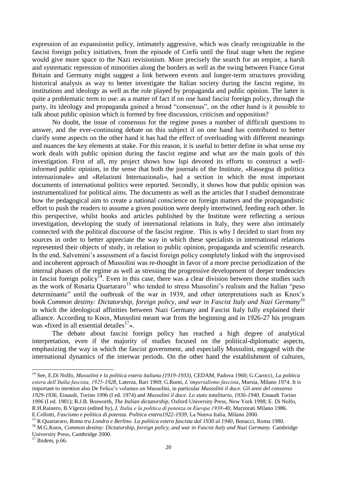expression of an expansionist policy, intimately aggressive, which was clearly recognizable in the fascist foreign policy initiatives, from the episode of Corfù until the final stage when the regime would give more space to the Nazi revisionism. More precisely the search for an empire, a harsh and systematic repression of minorities along the borders as well as the swing between France Great Britain and Germany might suggest a link between events and longer-term structures providing historical analysis as way to better investigate the Italian society during the fascist regime, its institutions and ideology as well as the role played by propaganda and public opinion. The latter is quite a problematic term to use: as a matter of fact if on one hand fascist foreign policy, through the party, its ideology and propaganda gained a broad "consensus", on the other hand is it possible to talk about public opinion which is formed by free discussion, criticism and opposition?

No doubt, the issue of consensus for the regime poses a number of difficult questions to answer, and the ever-continuing debate on this subject if on one hand has contributed to better clarify some aspects on the other hand it has had the effect of overloading with different meanings and nuances the key elements at stake. For this reason, it is useful to better define in what sense my work deals with public opinion during the fascist regime and what are the main goals of this investigation. First of all, my project shows how Ispi devoted its efforts to construct a wellinformed public opinion, in the sense that both the journals of the Institute, «Rassegna di politica internazionale» and «Relazioni Internazionali», had a section in which the most important documents of international politics were reported. Secondly, it shows how that public opinion was instrumentalized for political aims. The documents as well as the articles that I studied demonstrate how the pedagogical aim to create a national conscience on foreign matters and the propagandistic effort to push the readers to assume a given position were deeply intertwined, feeding each other. In this perspective, whilst books and articles published by the Institute were reflecting a serious investigation, developing the study of international relations in Italy, they were also intimately connected with the political discourse of the fascist regime. This is why I decided to start from my sources in order to better appreciate the way in which these specialists in international relations represented their objects of study, in relation to public opinion, propaganda and scientific research. In the end, Salvemini's assessment of a fascist foreign policy completely linked with the improvised and incoherent approach of Mussolini was re-thought in favor of a more precise periodization of the internal phases of the regime as well as stressing the progressive development of deeper tendencies in fascist foreign policy<sup>14</sup>. Even in this case, there was a clear division between those studies such as the work of Rosaria Quartararo<sup>15</sup> who tended to stress Mussolini's realism and the Italian "peso determinante" until the outbreak of the war in 1939, and other interpretations such as Knox's book *Common destiny: Dictatorship, foreign policy, and war in Fascist Italy and Nazi Germany<sup>16</sup>* in which the ideological affinities between Nazi Germany and Fascist Italy fully explained their alliance. According to Knox, Mussolini meant war from the beginning and in 1926-27 his program was «fixed in all essential detailes $^{17}$ ».

The debate about fascist foreign policy has reached a high degree of analytical interpretation, even if the majority of studies focused on the political-diplomatic aspects, emphasizing the way in which the fascist government, and especially Mussolini, engaged with the international dynamics of the interwar periods. On the other hand the establishment of cultures,

<sup>14</sup> See, E.Di Nolfo, *Mussolini e la politica estera italiana (1919-1933)*, CEDAM, Padova 1960; G.Carocci, *La politica estera dell'Italia fascista, 1925-1928*, Laterza, Bari 1969; G.Rumi, *L'imperialismo fascista*, Mursia, Milano 1974. It is important to mention also De Felice's volumes on Mussolini, in particular *Mussolini il duce. Gli anni del consenso 1929-1936*, Einaudi, Torino 1996 (I ed. 1974) and *Mussolini il duce. Lo stato totalitario, 1936-1940*, Einaudi Torino 1996 (I ed. 1981); R.J.B. Bosworth, *The Italian dictatorship*, Oxford University Press, New York 1998; E. Di Nolfo, R.H.Rainero, B.Vigezzi (edited by), *L'Italia e la politica di potenza in Europa 1938-40*, Marzorati Milano 1986. E.Collotti, *Fascismo e politica di potenza. Politica estera1922-1939*, La Nuova Italia, Milano 2000.

<sup>15</sup> R.Quartararo, *Roma tra Londra e Berlino. La politica estera fascista dal 1930 al 1940*, Bonacci, Roma 1980.

<sup>16</sup> M.G.Knox, *Common destiny: Dictatorship, foreign policy, and war in Fascist Italy and Nazi Germany.* Cambridge University Press, Cambridge 2000.

 $17$  Ibidem, p.66.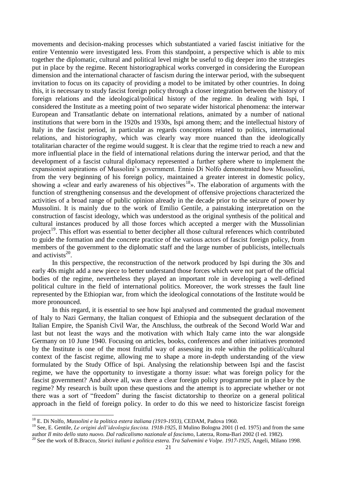movements and decision-making processes which substantiated a varied fascist initiative for the entire Ventennio were investigated less. From this standpoint, a perspective which is able to mix together the diplomatic, cultural and political level might be useful to dig deeper into the strategies put in place by the regime. Recent historiographical works converged in considering the European dimension and the international character of fascism during the interwar period, with the subsequent invitation to focus on its capacity of providing a model to be imitated by other countries. In doing this, it is necessary to study fascist foreign policy through a closer integration between the history of foreign relations and the ideological/political history of the regime. In dealing with Ispi, I considered the Institute as a meeting point of two separate wider historical phenomena: the interwar European and Transatlantic debate on international relations, animated by a number of national institutions that were born in the 1920s and 1930s, Ispi among them; and the intellectual history of Italy in the fascist period, in particular as regards conceptions related to politics, international relations, and historiography, which was clearly way more nuanced than the ideologically totalitarian character of the regime would suggest. It is clear that the regime tried to reach a new and more influential place in the field of international relations during the interwar period, and that the development of a fascist cultural diplomacy represented a further sphere where to implement the expansionist aspirations of Mussolini's government. Ennio Di Nolfo demonstrated how Mussolini, from the very beginning of his foreign policy, maintained a greater interest in domestic policy, showing a «clear and early awareness of his objectives<sup>18</sup>». The elaboration of arguments with the function of strengthening consensus and the development of offensive projections characterized the activities of a broad range of public opinion already in the decade prior to the seizure of power by Mussolini. It is mainly due to the work of Emilio Gentile, a painstaking interpretation on the construction of fascist ideology, which was understood as the original synthesis of the political and cultural instances produced by all those forces which accepted a merger with the Mussolinian project<sup>19</sup>. This effort was essential to better decipher all those cultural references which contributed to guide the formation and the concrete practice of the various actors of fascist foreign policy, from members of the government to the diplomatic staff and the large number of publicists, intellectuals and activists $^{20}$ .

In this perspective, the reconstruction of the network produced by Ispi during the 30s and early 40s might add a new piece to better understand those forces which were not part of the official bodies of the regime, nevertheless they played an important role in developing a well-defined political culture in the field of international politics. Moreover, the work stresses the fault line represented by the Ethiopian war, from which the ideological connotations of the Institute would be more pronounced.

In this regard, it is essential to see how Ispi analysed and commented the gradual movement of Italy to Nazi Germany, the Italian conquest of Ethiopia and the subsequent declaration of the Italian Empire, the Spanish Civil War, the Anschluss, the outbreak of the Second World War and last but not least the ways and the motivation with which Italy came into the war alongside Germany on 10 June 1940. Focusing on articles, books, conferences and other initiatives promoted by the Institute is one of the most fruitful way of assessing its role within the political/cultural context of the fascist regime, allowing me to shape a more in-depth understanding of the view formulated by the Study Office of Ispi. Analysing the relationship between Ispi and the fascist regime, we have the opportunity to investigate a thorny issue: what was foreign policy for the fascist government? And above all, was there a clear foreign policy programme put in place by the regime? My research is built upon these questions and the attempt is to appreciate whether or not there was a sort of "freedom" during the fascist dictatorship to theorize on a general political approach in the field of foreign policy. In order to do this we need to historicize fascist foreign

<sup>18</sup> E. Di Nolfo, *Mussolini e la politica estera italiana (1919-1933)*, CEDAM, Padova 1960.

<sup>19</sup> See, E. Gentile, *Le origini dell'ideologia fascista. 1918-1925*, Il Mulino Bologna 2001 (I ed. 1975) and from the same author *Il mito dello stato nuovo. Dal radicalismo nazionale al fascismo*, Laterza, Roma-Bari 2002 (I ed. 1982).

<sup>20</sup> See the work of B.Bracco, *Storici italiani e politica estera. Tra Salvemini e Volpe. 1917-1925*, Angeli, Milano 1998.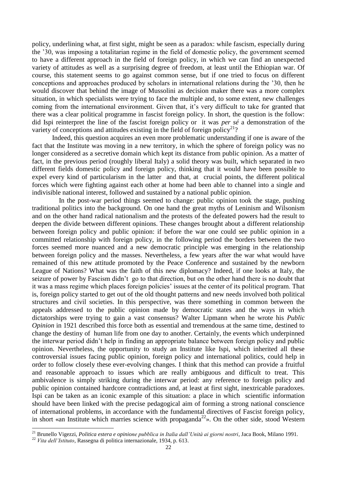policy, underlining what, at first sight, might be seen as a paradox: while fascism, especially during the '30, was imposing a totalitarian regime in the field of domestic policy, the government seemed to have a different approach in the field of foreign policy, in which we can find an unexpected variety of attitudes as well as a surprising degree of freedom, at least until the Ethiopian war. Of course, this statement seems to go against common sense, but if one tried to focus on different conceptions and approaches produced by scholars in international relations during the '30, then he would discover that behind the image of Mussolini as decision maker there was a more complex situation, in which specialists were trying to face the multiple and, to some extent, new challenges coming from the international environment. Given that, it's very difficult to take for granted that there was a clear political programme in fascist foreign policy. In short, the question is the follow: did Ispi reinterpret the line of the fascist foreign policy or it was *per sé* a demonstration of the variety of conceptions and attitudes existing in the field of foreign policy<sup>21</sup>?

Indeed, this question acquires an even more problematic understanding if one is aware of the fact that the Institute was moving in a new territory, in which the sphere of foreign policy was no longer considered as a secretive domain which kept its distance from public opinion. As a matter of fact, in the previous period (roughly liberal Italy) a solid theory was built, which separated in two different fields domestic policy and foreign policy, thinking that it would have been possible to expel every kind of particularism in the latter and that, at crucial points, the different political forces which were fighting against each other at home had been able to channel into a single and indivisible national interest, followed and sustained by a national public opinion.

 In the post-war period things seemed to change: public opinion took the stage, pushing traditional politics into the background. On one hand the great myths of Leninism and Wilsonism and on the other hand radical nationalism and the protests of the defeated powers had the result to deepen the divide between different opinions. These changes brought about a different relationship between foreign policy and public opinion: if before the war one could see public opinion in a committed relationship with foreign policy, in the following period the borders between the two forces seemed more nuanced and a new democratic principle was emerging in the relationship between foreign policy and the masses. Nevertheless, a few years after the war what would have remained of this new attitude promoted by the Peace Conference and sustained by the newborn League of Nations? What was the faith of this new diplomacy? Indeed, if one looks at Italy, the seizure of power by Fascism didn't go to that direction, but on the other hand there is no doubt that it was a mass regime which places foreign policies' issues at the center of its political program. That is, foreign policy started to get out of the old thought patterns and new needs involved both political structures and civil societies. In this perspective, was there something in common between the appeals addressed to the public opinion made by democratic states and the ways in which dictatorships were trying to gain a vast consensus? Walter Lipmann when he wrote his *Public Opinion* in 1921 described this force both as essential and tremendous at the same time, destined to change the destiny of human life from one day to another. Certainly, the events which underpinned the interwar period didn't help in finding an appropriate balance between foreign policy and public opinion. Nevertheless, the opportunity to study an Institute like Ispi, which inherited all these controversial issues facing public opinion, foreign policy and international politics, could help in order to follow closely these ever-evolving changes. I think that this method can provide a fruitful and reasonable approach to issues which are really ambiguous and difficult to treat. This ambivalence is simply striking during the interwar period: any reference to foreign policy and public opinion contained hardcore contradictions and, at least at first sight, inextricable paradoxes. Ispi can be taken as an iconic example of this situation: a place in which scientific information should have been linked with the precise pedagogical aim of forming a strong national conscience of international problems, in accordance with the fundamental directives of Fascist foreign policy, in short «an Institute which marries science with propaganda<sup>22</sup>». On the other side, stood Western

<sup>21</sup> Brunello Vigezzi, *Politica estera e opinione pubblica in Italia dall'Unità ai giorni nostri*, Jaca Book, Milano 1991.

<sup>22</sup> *Vita dell'Istituto*, Rassegna di politica internazionale, 1934, p. 613.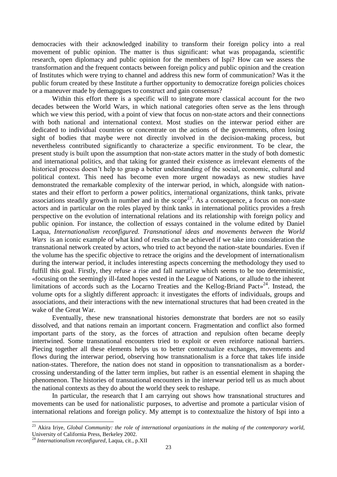democracies with their acknowledged inability to transform their foreign policy into a real movement of public opinion. The matter is thus significant: what was propaganda, scientific research, open diplomacy and public opinion for the members of Ispi? How can we assess the transformation and the frequent contacts between foreign policy and public opinion and the creation of Institutes which were trying to channel and address this new form of communication? Was it the public forum created by these Institute a further opportunity to democratize foreign policies choices or a maneuver made by demagogues to construct and gain consensus?

Within this effort there is a specific will to integrate more classical account for the two decades between the World Wars, in which national categories often serve as the lens through which we view this period, with a point of view that focus on non-state actors and their connections with both national and international context. Most studies on the interwar period either are dedicated to individual countries or concentrate on the actions of the governments, often losing sight of bodies that maybe were not directly involved in the decision-making process, but nevertheless contributed significantly to characterize a specific environment. To be clear, the present study is built upon the assumption that non-state actors matter in the study of both domestic and international politics, and that taking for granted their existence as irrelevant elements of the historical process doesn't help to grasp a better understanding of the social, economic, cultural and political context. This need has become even more urgent nowadays as new studies have demonstrated the remarkable complexity of the interwar period, in which, alongside with nationstates and their effort to perform a power politics, international organizations, think tanks, private associations steadily growth in number and in the scope<sup>23</sup>. As a consequence, a focus on non-state actors and in particular on the roles played by think tanks in international politics provides a fresh perspective on the evolution of international relations and its relationship with foreign policy and public opinion. For instance, the collection of essays contained in the volume edited by Daniel Laqua, *Internationalism reconfigured. Transnational ideas and movements between the World Wars* is an iconic example of what kind of results can be achieved if we take into consideration the transnational network created by actors, who tried to act beyond the nation-state boundaries. Even if the volume has the specific objective to retrace the origins and the development of internationalism during the interwar period, it includes interesting aspects concerning the methodology they used to fulfill this goal. Firstly, they refuse a rise and fall narrative which seems to be too deterministic, «focusing on the seemingly ill-fated hopes vested in the League of Nations, or allude to the inherent limitations of accords such as the Locarno Treaties and the Kellog-Briand Pact $x^{24}$ . Instead, the volume opts for a slightly different approach: it investigates the efforts of individuals, groups and associations, and their interactions with the new international structures that had been created in the wake of the Great War.

Eventually, these new transnational histories demonstrate that borders are not so easily dissolved, and that nations remain an important concern. Fragmentation and conflict also formed important parts of the story, as the forces of attraction and repulsion often became deeply intertwined. Some transnational encounters tried to exploit or even reinforce national barriers. Piecing together all these elements helps us to better contextualize exchanges, movements and flows during the interwar period, observing how transnationalism is a force that takes life inside nation-states. Therefore, the nation does not stand in opposition to transnationalism as a bordercrossing understanding of the latter term implies, but rather is an essential element in shaping the phenomenon. The histories of transnational encounters in the interwar period tell us as much about the national contexts as they do about the world they seek to reshape.

In particular, the research that I am carrying out shows how transnational structures and movements can be used for nationalistic purposes, to advertise and promote a particular vision of international relations and foreign policy. My attempt is to contextualize the history of Ispi into a

 $\overline{a}$ 

<sup>&</sup>lt;sup>23</sup> Akira Iriye, *Global Community: the role of international organizations in the making of the contemporary world,* University of California Press, Berkeley 2002.

<sup>24</sup> *Internationalism reconfigured*, Laqua, cit., p.XII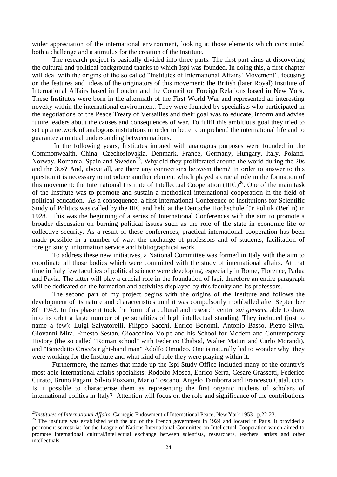wider appreciation of the international environment, looking at those elements which constituted both a challenge and a stimulus for the creation of the Institute.

The research project is basically divided into three parts. The first part aims at discovering the cultural and political background thanks to which Ispi was founded. In doing this, a first chapter will deal with the origins of the so called "Institutes of International Affairs' Movement", focusing on the features and ideas of the originators of this movement: the British (later Royal) Institute of International Affairs based in London and the Council on Foreign Relations based in New York. These Institutes were born in the aftermath of the First World War and represented an interesting novelty within the international environment. They were founded by specialists who participated in the negotiations of the Peace Treaty of Versailles and their goal was to educate, inform and advise future leaders about the causes and consequences of war. To fulfil this ambitious goal they tried to set up a network of analogous institutions in order to better comprehend the international life and to guarantee a mutual understanding between nations.

In the following years, Institutes imbued with analogous purposes were founded in the Commonwealth, China, Czechoslovakia, Denmark, France, Germany, Hungary, Italy, Poland, Norway, Romania, Spain and Sweden<sup>25</sup>. Why did they proliferated around the world during the 20s and the 30s? And, above all, are there any connections between them? In order to answer to this question it is necessary to introduce another element which played a crucial role in the formation of this movement: the International Institute of Intellectual Cooperation  $(IIIC)^{26}$ . One of the main task of the Institute was to promote and sustain a methodical international cooperation in the field of political education. As a consequence, a first International Conference of Institutions for Scientific Study of Politics was called by the IIIC and held at the Deutsche Hochschule für Politik (Berlin) in 1928. This was the beginning of a series of International Conferences with the aim to promote a broader discussion on burning political issues such as the role of the state in economic life or collective security. As a result of these conferences, practical international cooperation has been made possible in a number of way: the exchange of professors and of students, facilitation of foreign study, information service and bibliographical work.

To address these new initiatives, a National Committee was formed in Italy with the aim to coordinate all those bodies which were committed with the study of international affairs. At that time in Italy few faculties of political science were developing, especially in Rome, Florence, Padua and Pavia. The latter will play a crucial role in the foundation of Ispi, therefore an entire paragraph will be dedicated on the formation and activities displayed by this faculty and its professors.

The second part of my project begins with the origins of the Institute and follows the development of its nature and characteristics until it was compulsorily mothballed after September 8th 1943. In this phase it took the form of a cultural and research centre *sui generis*, able to draw into its orbit a large number of personalities of high intellectual standing. They included (just to name a few): Luigi Salvatorelli, Filippo Sacchi, Enrico Bonomi, Antonio Basso, Pietro Silva, Giovanni Mira, Ernesto Sestan, Gioacchino Volpe and his School for Modern and Contemporary History (the so called "Roman school" with Federico Chabod, Walter Maturi and Carlo Morandi), and "Benedetto Croce's right-hand man" Adolfo Omodeo. One is naturally led to wonder why they were working for the Institute and what kind of role they were playing within it.

Furthermore, the names that made up the Ispi Study Office included many of the country's most able international affairs specialists: Rodolfo Mosca, Enrico Serra, Cesare Grassetti, Federico Curato, Bruno Pagani, Silvio Pozzani, Mario Toscano, Angelo Tamborra and Francesco Cataluccio. Is it possible to characterise them as representing the first organic nucleus of scholars of international politics in Italy? Attention will focus on the role and significance of the contributions

<sup>25</sup>*Institutes of International Affairs*, Carnegie Endowment of International Peace, New York 1953 , p.22-23.

<sup>&</sup>lt;sup>26</sup> The institute was established with the aid of the French government in 1924 and located in Paris. It provided a permanent secretariat for the League of Nations International Committee on Intellectual Cooperation which aimed to promote international cultural/intellectual exchange between scientists, researchers, teachers, artists and other intellectuals.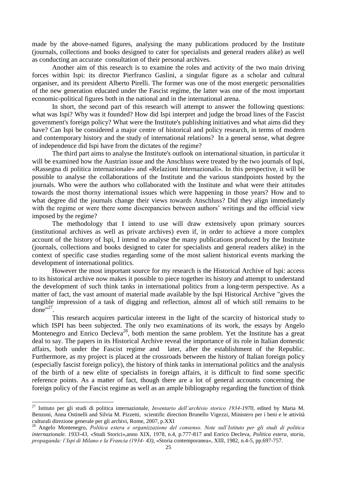made by the above-named figures, analysing the many publications produced by the Institute (journals, collections and books designed to cater for specialists and general readers alike) as well as conducting an accurate consultation of their personal archives.

Another aim of this research is to examine the roles and activity of the two main driving forces within Ispi: its director Pierfranco Gaslini, a singular figure as a scholar and cultural organiser, and its president Alberto Pirelli. The former was one of the most energetic personalities of the new generation educated under the Fascist regime, the latter was one of the most important economic-political figures both in the national and in the international arena.

In short, the second part of this research will attempt to answer the following questions: what was Ispi? Why was it founded? How did Ispi interpret and judge the broad lines of the Fascist government's foreign policy? What were the Institute's publishing initiatives and what aims did they have? Can Ispi be considered a major centre of historical and policy research, in terms of modern and contemporary history and the study of international relations? In a general sense, what degree of independence did Ispi have from the dictates of the regime?

The third part aims to analyse the Institute's outlook on international situation, in particular it will be examined how the Austrian issue and the Anschluss were treated by the two journals of Ispi, «Rassegna di politica internazionale» and «Relazioni Internazionali». In this perspective, it will be possible to analyse the collaborations of the Institute and the various standpoints hosted by the journals. Who were the authors who collaborated with the Institute and what were their attitudes towards the most thorny international issues which were happening in those years? How and to what degree did the journals change their views towards Anschluss? Did they align immediately with the regime or were there some discrepancies between authors' writings and the official view imposed by the regime?

The methodology that I intend to use will draw extensively upon primary sources (institutional archives as well as private archives) even if, in order to achieve a more complex account of the history of Ispi, I intend to analyse the many publications produced by the Institute (journals, collections and books designed to cater for specialists and general readers alike) in the context of specific case studies regarding some of the most salient historical events marking the development of international politics.

However the most important source for my research is the Historical Archive of Ispi: access to its historical archive now makes it possible to piece together its history and attempt to understand the development of such think tanks in international politics from a long-term perspective. As a matter of fact, the vast amount of material made available by the Ispi Historical Archive "gives the tangible impression of a task of digging and reflection, almost all of which still remains to be done" $^{27}$ .

This research acquires particular interest in the light of the scarcity of historical study to which ISPI has been subjected. The only two examinations of its work, the essays by Angelo Montenegro and Enrico Decleva<sup>28</sup>, both mention the same problem. Yet the Institute has a great deal to say. The papers in its Historical Archive reveal the importance of its role in Italian domestic affairs, both under the Fascist regime and later, after the establishment of the Republic. Furthermore, as my project is placed at the crossroads between the history of Italian foreign policy (especially fascist foreign policy), the history of think tanks in international politics and the analysis of the birth of a new elite of specialists in foreign affairs, it is difficult to find some specific reference points. As a matter of fact, though there are a lot of general accounts concerning the foreign policy of the Fascist regime as well as an ample bibliography regarding the function of think

<sup>27</sup> Istituto per gli studi di politica internazionale, *Inventario dell'archivio storico 1934-1970*, edited by Maria M. Benzoni, Anna Ostinelli and Silvia M. Pizzetti, scientific direction Brunello Vigezzi, Ministero per i beni e le attività culturali direzione generale per gli archivi, Rome, 2007, p.XXI

<sup>28</sup> Angelo Montenegro, *Politica estera e organizzazione del consenso. Note sull'Istituto per gli studi di politica internazionale. 1933-43,* «Studi Storici»,anno XIX, 1978, n.4, p.777-817 and Enrico Decleva, *Politica estera, storia, propaganda: l'Ispi di Milano e la Francia (1934- 43),* «Storia contemporanea», XIII, 1982, n.4-5, pp.697-757.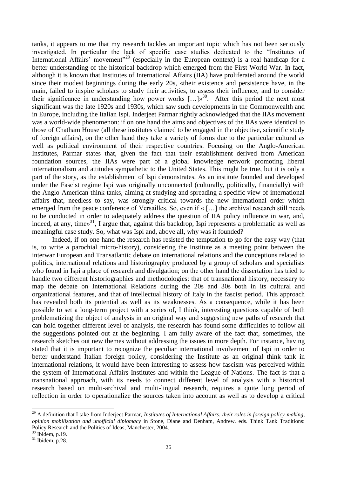tanks, it appears to me that my research tackles an important topic which has not been seriously investigated. In particular the lack of specific case studies dedicated to the "Institutes of International Affairs' movement"<sup>29</sup> (especially in the European context) is a real handicap for a better understanding of the historical backdrop which emerged from the First World War. In fact, although it is known that Institutes of International Affairs (IIA) have proliferated around the world since their modest beginnings during the early 20s, «their existence and persistence have, in the main, failed to inspire scholars to study their activities, to assess their influence, and to consider their significance in understanding how power works  $[...]_p^{30}$ . After this period the next most significant was the late 1920s and 1930s, which saw such developments in the Commonwealth and in Europe, including the Italian Ispi. Inderjeet Parmar rightly acknowledged that the IIAs movement was a world-wide phenomenon: if on one hand the aims and objectives of the IIAs were identical to those of Chatham House (all these institutes claimed to be engaged in the objective, scientific study of foreign affairs), on the other hand they take a variety of forms due to the particular cultural as well as political environment of their respective countries. Focusing on the Anglo-American Institutes, Parmar states that, given the fact that their establishment derived from American foundation sources, the IIAs were part of a global knowledge network promoting liberal internationalism and attitudes sympathetic to the United States. This might be true, but it is only a part of the story, as the establishment of Ispi demonstrates. As an institute founded and developed under the Fascist regime Ispi was originally unconnected (culturally, politically, financially) with the Anglo-American think tanks, aiming at studying and spreading a specific view of international affairs that, needless to say, was strongly critical towards the new international order which emerged from the peace conference of Versailles. So, even if « […] the archival research still needs to be conducted in order to adequately address the question of IIA policy influence in war, and, indeed, at any, time $\frac{31}{1}$ , I argue that, against this backdrop, Ispi represents a problematic as well as meaningful case study. So, what was Ispi and, above all, why was it founded?

Indeed, if on one hand the research has resisted the temptation to go for the easy way (that is, to write a parochial micro-history), considering the Institute as a meeting point between the interwar European and Transatlantic debate on international relations and the conceptions related to politics, international relations and historiography produced by a group of scholars and specialists who found in Ispi a place of research and divulgation; on the other hand the dissertation has tried to handle two different historiographies and methodologies: that of transnational history, necessary to map the debate on International Relations during the 20s and 30s both in its cultural and organizational features, and that of intellectual history of Italy in the fascist period. This approach has revealed both its potential as well as its weaknesses. As a consequence, while it has been possible to set a long-term project with a series of, I think, interesting questions capable of both problematizing the object of analysis in an original way and suggesting new paths of research that can hold together different level of analysis, the research has found some difficulties to follow all the suggestions pointed out at the beginning. I am fully aware of the fact that, sometimes, the research sketches out new themes without addressing the issues in more depth. For instance, having stated that it is important to recognize the peculiar international involvement of Ispi in order to better understand Italian foreign policy, considering the Institute as an original think tank in international relations, it would have been interesting to assess how fascism was perceived within the system of International Affairs Institutes and within the League of Nations. The fact is that a transnational approach, with its needs to connect different level of analysis with a historical research based on multi-archival and multi-lingual research, requires a quite long period of reflection in order to operationalize the sources taken into account as well as to develop a critical

<sup>&</sup>lt;sup>29</sup> A definition that I take from Inderjeet Parmar, *Institutes of International Affairs: their roles in foreign policy-making*, *opinion mobilization and unofficial diplomacy* in Stone, Diane and Denham, Andrew. eds. Think Tank Traditions: Policy Research and the Politics of Ideas, Manchester, 2004.

<sup>30</sup> Ibidem, p.19.

<sup>31</sup> Ibidem*,* p.28.